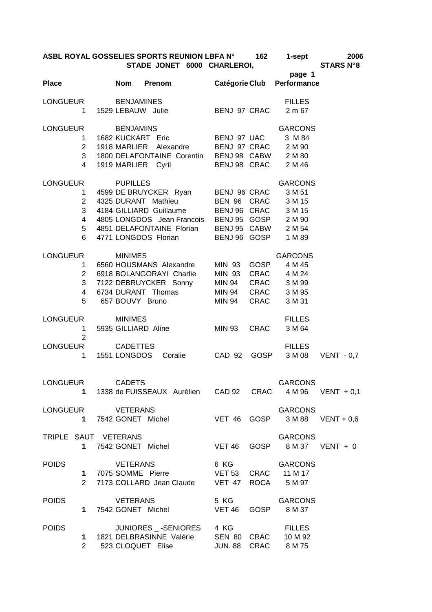| ASBL ROYAL GOSSELIES SPORTS REUNION LBFA N° | 162 | 1-sept | 2006                                                         |
|---------------------------------------------|-----|--------|--------------------------------------------------------------|
| <b>OTIBE IONET COOL OUIDI FROM</b>          |     |        | $Q = \mathbf{A} \mathbf{B} \mathbf{A} \mathbf{B} \mathbf{A}$ |

|                      | AODE NOTAE OOOOEEIEO OF ONTO NEONION EDI A IN<br>STADE JONET 6000 CHARLEROI,<br>page 1 |  | $\sim$ . $\sim$ $\sim$ $\sim$ $\sim$ | $\sim$ $\sim$ $\sim$ $\sim$ $\sim$ $\sim$ $\sim$<br><b>STARS N°8</b> |                                                                                                                                                                                                                                                                          |                                                                       |  |
|----------------------|----------------------------------------------------------------------------------------|--|--------------------------------------|----------------------------------------------------------------------|--------------------------------------------------------------------------------------------------------------------------------------------------------------------------------------------------------------------------------------------------------------------------|-----------------------------------------------------------------------|--|
| Place Nom Prenom     |                                                                                        |  |                                      |                                                                      |                                                                                                                                                                                                                                                                          | Catégorie Club Performance                                            |  |
| LONGUEUR BENJAMINES  |                                                                                        |  |                                      |                                                                      | 1 1529 LEBAUW Julie BENJ 97 CRAC 2 m 67                                                                                                                                                                                                                                  | <b>FILLES</b>                                                         |  |
| LONGUEUR BENJAMINS   | 3 <sup>7</sup><br>$\overline{4}$                                                       |  |                                      | 1919 MARLIER Cyril                                                   | יוויאומוס איז א באמארי א א ANCON.<br>1 1682 KUCKART Eric BENJ 97 UAC 3 M 84<br>2 1918 MARLIER Alexandre BENJ 97 CRAC 2 M 90<br>1800 DELAFONTAINE Corentin BENJ 98 CABW 2 M 80                                                                                            | <b>GARCONS</b><br>BENJ 98 CRAC 2 M 46                                 |  |
| LONGUEUR PUPILLES    |                                                                                        |  |                                      |                                                                      | 1 4599 DE BRUYCKER Ryan<br>2 4325 DURANT Mathieu BEN 96 CRAC 3 M 15<br>3 4184 GILLIARD Guillaume BEN 96 CRAC 3 M 15<br>4 4805 LONGDOS Jean Francois BENJ 95 GOSP 2 M 90<br>5 4851 DELAFONTAINE Florian BENJ 95 CABW 2 M 54<br>6 4771 LONGDOS Florian BENJ 96 GOSP 1 M 89 | <b>GARCONS</b>                                                        |  |
| LONGUEUR             |                                                                                        |  | <b>MINIMES</b>                       | 2 6918 BOLANGORAYI Charlie                                           | 1 6560 HOUSMANS Alexandre MIN 93 GOSP<br>3 7122 DEBRUYCKER Sonny<br>4 6734 DURANT Thomas MIN 94 CRAC 3 M 95<br>5 657 BOUVY Bruno MIN 94 CRAC 3 M 31                                                                                                                      | <b>GARCONS</b><br>4 M 45<br>MIN 93 CRAC 4 M 24                        |  |
| LONGUEUR MINIMES     |                                                                                        |  |                                      | 1 5935 GILLIARD Aline                                                |                                                                                                                                                                                                                                                                          | <b>FILLES</b><br>MIN 93 CRAC 3 M 64                                   |  |
| LONGUEUR CADETTES    | $\overline{2}$                                                                         |  |                                      |                                                                      |                                                                                                                                                                                                                                                                          | <b>FILLES</b><br>1 1551 LONGDOS Coralie CAD 92 GOSP 3 M 08 VENT - 0,7 |  |
| LONGUEUR CADETS      |                                                                                        |  |                                      |                                                                      |                                                                                                                                                                                                                                                                          | GARCONS<br>1 1338 de FUISSEAUX Aurélien CAD 92 CRAC 4 M 96 VENT + 0,1 |  |
| LONGUEUR VETERANS    |                                                                                        |  |                                      |                                                                      |                                                                                                                                                                                                                                                                          | GARCONS<br>1 7542 GONET Michel VET 46 GOSP 3 M 88 VENT + 0,6          |  |
| TRIPLE SAUT VETERANS |                                                                                        |  |                                      |                                                                      |                                                                                                                                                                                                                                                                          | GARCONS                                                               |  |
|                      |                                                                                        |  |                                      |                                                                      | 1 7075 SOMME Pierre VET 53 CRAC 11 M 17<br>2 7173 COLLARD Jean Claude VET 47 ROCA 5 M 97                                                                                                                                                                                 | POIDS VETERANS 6 KG GARCONS                                           |  |
|                      |                                                                                        |  |                                      |                                                                      | 1 7542 GONET Michel VET 46 GOSP 8 M 37                                                                                                                                                                                                                                   | POIDS VETERANS 5 KG GARCONS                                           |  |
|                      |                                                                                        |  |                                      |                                                                      | POIDS JUNIORES -SENIORES 4 KG FILLES<br>1 1821 DELBRASINNE Valérie SEN 80 CRAC 10 M 92<br>2 523 CLOQUET Elise JUN. 88 CRAC 8 M 75                                                                                                                                        |                                                                       |  |